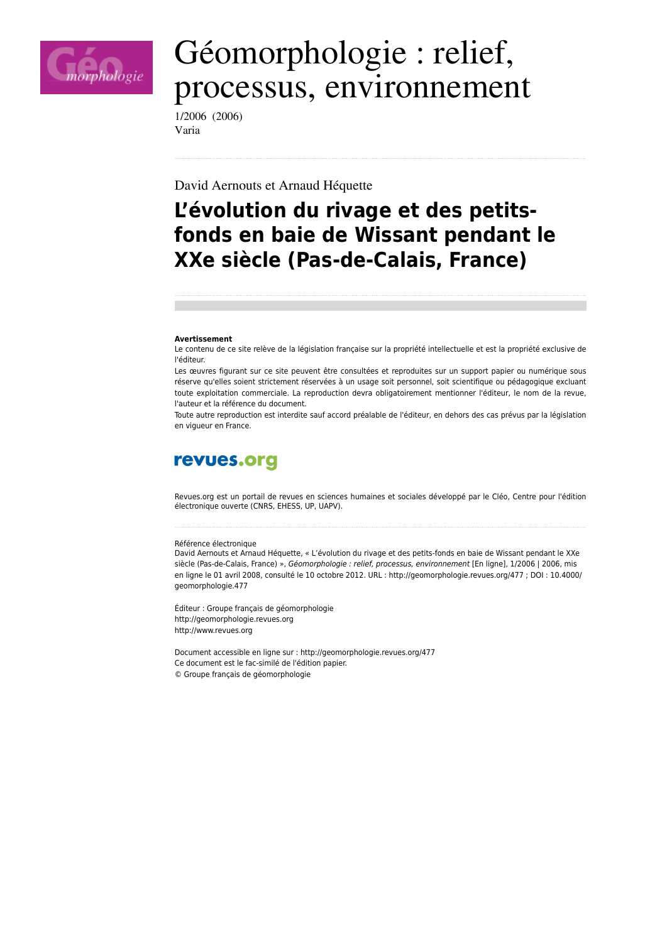

# Géomorphologie : relief, processus, environnement

1/2006 (2006) Varia

David Aernouts et Arnaud Héquette

## L'évolution du rivage et des petitsfonds en baie de Wissant pendant le XXe siècle (Pas-de-Calais, France)

#### **Avertissement**

Le contenu de ce site relève de la législation française sur la propriété intellectuelle et est la propriété exclusive de l'éditeur.

Les œuvres figurant sur ce site peuvent être consultées et reproduites sur un support papier ou numérique sous réserve qu'elles soient strictement réservées à un usage soit personnel, soit scientifique ou pédagogique excluant toute exploitation commerciale. La reproduction devra obligatoirement mentionner l'éditeur, le nom de la revue, l'auteur et la référence du document.

Toute autre reproduction est interdite sauf accord préalable de l'éditeur, en dehors des cas prévus par la législation en vigueur en France.

## revues.org

Revues.org est un portail de revues en sciences humaines et sociales développé par le Cléo, Centre pour l'édition électronique ouverte (CNRS, EHESS, UP, UAPV).

#### Référence électronique

David Aernouts et Arnaud Héquette, « L'évolution du rivage et des petits-fonds en baie de Wissant pendant le XXe siècle (Pas-de-Calais, France) », Géomorphologie : relief, processus, environnement [En ligne], 1/2006 | 2006, mis en ligne le 01 avril 2008, consulté le 10 octobre 2012. URL : http://geomorphologie.revues.org/477 ; DOI : 10.4000/ geomorphologie.477

Éditeur : Groupe français de géomorphologie http://geomorphologie.revues.org http://www.revues.org

Document accessible en ligne sur : http://geomorphologie.revues.org/477 Ce document est le fac-similé de l'édition papier. © Groupe français de géomorphologie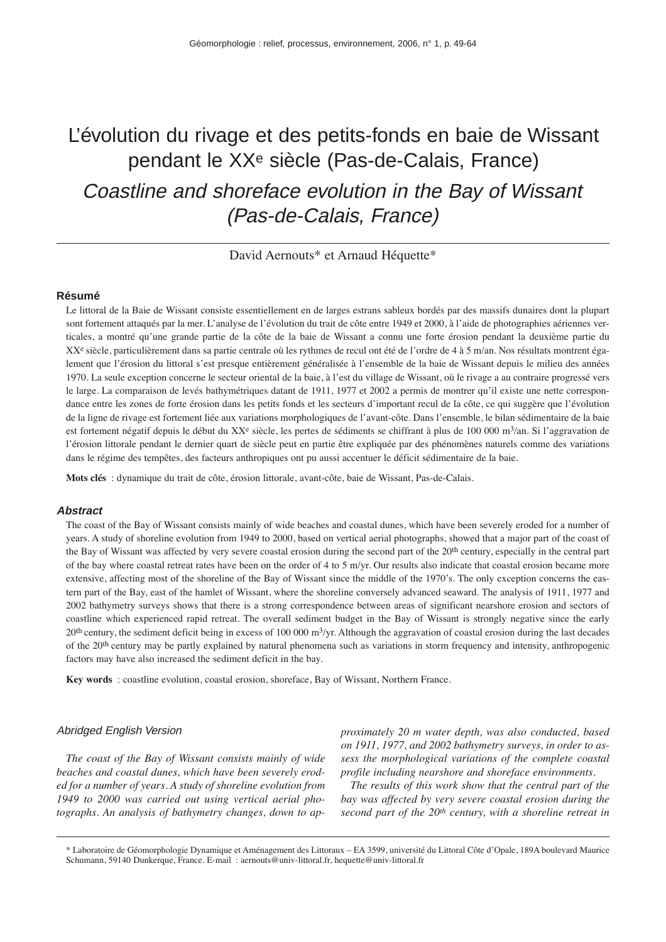## L'évolution du rivage et des petits-fonds en baie de Wissant pendant le XXe siècle (Pas-de-Calais, France) Coastline and shoreface evolution in the Bay of Wissant (Pas-de-Calais, France)

David Aernouts\* et Arnaud Héquette\*

#### **Résumé**

Le littoral de la Baie de Wissant consiste essentiellement en de larges estrans sableux bordés par des massifs dunaires dont la plupart sont fortement attaqués par la mer. L'analyse de l'évolution du trait de côte entre 1949 et 2000, à l'aide de photographies aériennes verticales, a montré qu'une grande partie de la côte de la baie de Wissant a connu une forte érosion pendant la deuxième partie du XX<sup>e</sup> siècle, particulièrement dans sa partie centrale où les rythmes de recul ont été de l'ordre de 4 à 5 m/an. Nos résultats montrent également que l'érosion du littoral s'est presque entièrement généralisée à l'ensemble de la baie de Wissant depuis le milieu des années 1970. La seule exception concerne le secteur oriental de la baie, à l'est du village de Wissant, où le rivage a au contraire progressé vers le large. La comparaison de levés bathymétriques datant de 1911, 1977 et 2002 a permis de montrer qu'il existe une nette correspondance entre les zones de forte érosion dans les petits fonds et les secteurs d'important recul de la côte, ce qui suggère que l'évolution de la ligne de rivage est fortement liée aux variations morphologiques de l'avant-côte. Dans l'ensemble, le bilan sédimentaire de la baie est fortement négatif depuis le début du XX<sup>e</sup> siècle, les pertes de sédiments se chiffrant à plus de 100 000 m<sup>3</sup>/an. Si l'aggravation de l'érosion littorale pendant le dernier quart de siècle peut en partie être expliquée par des phénomènes naturels comme des variations dans le régime des tempêtes, des facteurs anthropiques ont pu aussi accentuer le déficit sédimentaire de la baie.

**Mots clés** : dynamique du trait de côte, érosion littorale, avant-côte, baie de Wissant, Pas-de-Calais.

#### **Abstract**

The coast of the Bay of Wissant consists mainly of wide beaches and coastal dunes, which have been severely eroded for a number of years. A study of shoreline evolution from 1949 to 2000, based on vertical aerial photographs, showed that a major part of the coast of the Bay of Wissant was affected by very severe coastal erosion during the second part of the 20<sup>th</sup> century, especially in the central part of the bay where coastal retreat rates have been on the order of 4 to 5 m/yr. Our results also indicate that coastal erosion became more extensive, affecting most of the shoreline of the Bay of Wissant since the middle of the 1970's. The only exception concerns the eastern part of the Bay, east of the hamlet of Wissant, where the shoreline conversely advanced seaward. The analysis of 1911, 1977 and 2002 bathymetry surveys shows that there is a strong correspondence between areas of significant nearshore erosion and sectors of coastline which experienced rapid retreat. The overall sediment budget in the Bay of Wissant is strongly negative since the early  $20<sup>th</sup>$  century, the sediment deficit being in excess of 100 000 m<sup>3</sup>/yr. Although the aggravation of coastal erosion during the last decades of the 20<sup>th</sup> century may be partly explained by natural phenomena such as variations in storm frequency and intensity, anthropogenic factors may have also increased the sediment deficit in the bay.

**Key words** : coastline evolution, coastal erosion, shoreface, Bay of Wissant, Northern France.

#### Abridged English Version

*The coast of the Bay of Wissant consists mainly of wide beaches and coastal dunes, which have been severely eroded for a number of years. A study of shoreline evolution from 1949 to 2000 was carried out using vertical aerial photographs. An analysis of bathymetry changes, down to ap-* *proximately 20 m water depth, was also conducted, based on 1911, 1977, and 2002 bathymetry surveys, in order to assess the morphological variations of the complete coastal profile including nearshore and shoreface environments.*

*The results of this work show that the central part of the bay was affected by very severe coastal erosion during the second part of the 20th century, with a shoreline retreat in*

\* Laboratoire de Géomorphologie Dynamique et Aménagement des Littoraux – EA 3599, université du Littoral Côte d'Opale, 189A boulevard Maurice Schumann, 59140 Dunkerque, France. E-mail : aernouts@univ-littoral.fr, hequette@univ-littoral.fr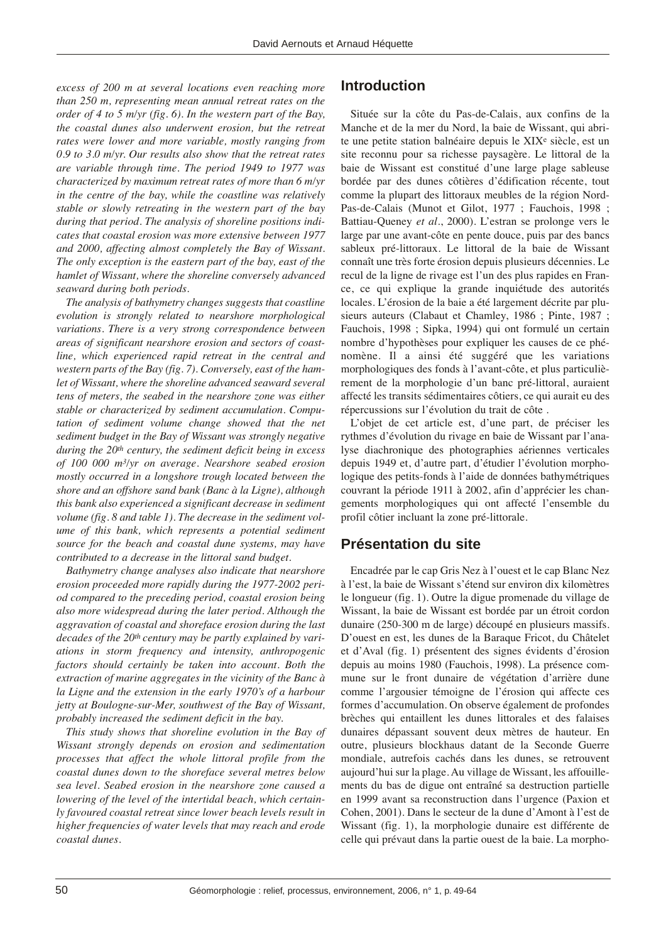*excess of 200 m at several locations even reaching more than 250 m, representing mean annual retreat rates on the order of 4 to 5 m/yr (fig. 6). In the western part of the Bay, the coastal dunes also underwent erosion, but the retreat rates were lower and more variable, mostly ranging from 0.9 to 3.0 m/yr. Our results also show that the retreat rates are variable through time. The period 1949 to 1977 was characterized by maximum retreat rates of more than 6 m/yr in the centre of the bay, while the coastline was relatively stable or slowly retreating in the western part of the bay during that period. The analysis of shoreline positions indicates that coastal erosion was more extensive between 1977 and 2000, affecting almost completely the Bay of Wissant. The only exception is the eastern part of the bay, east of the hamlet of Wissant, where the shoreline conversely advanced seaward during both periods.*

*The analysis of bathymetry changes suggests that coastline evolution is strongly related to nearshore morphological variations. There is a very strong correspondence between areas of significant nearshore erosion and sectors of coastline, which experienced rapid retreat in the central and western parts of the Bay (fig. 7). Conversely, east of the hamlet of Wissant, where the shoreline advanced seaward several tens of meters, the seabed in the nearshore zone was either stable or characterized by sediment accumulation. Computation of sediment volume change showed that the net sediment budget in the Bay of Wissant was strongly negative during the 20th century, the sediment deficit being in excess of 100 000 m3/yr on average. Nearshore seabed erosion mostly occurred in a longshore trough located between the shore and an offshore sand bank (Banc à la Ligne), although this bank also experienced a significant decrease in sediment volume (fig. 8 and table 1). The decrease in the sediment volume of this bank, which represents a potential sediment source for the beach and coastal dune systems, may have contributed to a decrease in the littoral sand budget.*

*Bathymetry change analyses also indicate that nearshore erosion proceeded more rapidly during the 1977-2002 period compared to the preceding period, coastal erosion being also more widespread during the later period. Although the aggravation of coastal and shoreface erosion during the last decades of the 20th century may be partly explained by variations in storm frequency and intensity, anthropogenic factors should certainly be taken into account. Both the extraction of marine aggregates in the vicinity of the Banc à la Ligne and the extension in the early 1970's of a harbour jetty at Boulogne-sur-Mer, southwest of the Bay of Wissant, probably increased the sediment deficit in the bay.*

*This study shows that shoreline evolution in the Bay of Wissant strongly depends on erosion and sedimentation processes that affect the whole littoral profile from the coastal dunes down to the shoreface several metres below sea level. Seabed erosion in the nearshore zone caused a lowering of the level of the intertidal beach, which certainly favoured coastal retreat since lower beach levels result in higher frequencies of water levels that may reach and erode coastal dunes.* 

## **Introduction**

Située sur la côte du Pas-de-Calais, aux confins de la Manche et de la mer du Nord, la baie de Wissant, qui abrite une petite station balnéaire depuis le XIXe siècle, est un site reconnu pour sa richesse paysagère. Le littoral de la baie de Wissant est constitué d'une large plage sableuse bordée par des dunes côtières d'édification récente, tout comme la plupart des littoraux meubles de la région Nord-Pas-de-Calais (Munot et Gilot, 1977 ; Fauchois, 1998 ; Battiau-Queney *et al*., 2000). L'estran se prolonge vers le large par une avant-côte en pente douce, puis par des bancs sableux pré-littoraux. Le littoral de la baie de Wissant connaît une très forte érosion depuis plusieurs décennies. Le recul de la ligne de rivage est l'un des plus rapides en France, ce qui explique la grande inquiétude des autorités locales. L'érosion de la baie a été largement décrite par plusieurs auteurs (Clabaut et Chamley, 1986 ; Pinte, 1987 ; Fauchois, 1998 ; Sipka, 1994) qui ont formulé un certain nombre d'hypothèses pour expliquer les causes de ce phénomène. Il a ainsi été suggéré que les variations morphologiques des fonds à l'avant-côte, et plus particulièrement de la morphologie d'un banc pré-littoral, auraient affecté les transits sédimentaires côtiers, ce qui aurait eu des répercussions sur l'évolution du trait de côte .

L'objet de cet article est, d'une part, de préciser les rythmes d'évolution du rivage en baie de Wissant par l'analyse diachronique des photographies aériennes verticales depuis 1949 et, d'autre part, d'étudier l'évolution morphologique des petits-fonds à l'aide de données bathymétriques couvrant la période 1911 à 2002, afin d'apprécier les changements morphologiques qui ont affecté l'ensemble du profil côtier incluant la zone pré-littorale.

## **Présentation du site**

Encadrée par le cap Gris Nez à l'ouest et le cap Blanc Nez à l'est, la baie de Wissant s'étend sur environ dix kilomètres le longueur (fig. 1). Outre la digue promenade du village de Wissant, la baie de Wissant est bordée par un étroit cordon dunaire (250-300 m de large) découpé en plusieurs massifs. D'ouest en est, les dunes de la Baraque Fricot, du Châtelet et d'Aval (fig. 1) présentent des signes évidents d'érosion depuis au moins 1980 (Fauchois, 1998). La présence commune sur le front dunaire de végétation d'arrière dune comme l'argousier témoigne de l'érosion qui affecte ces formes d'accumulation. On observe également de profondes brèches qui entaillent les dunes littorales et des falaises dunaires dépassant souvent deux mètres de hauteur. En outre, plusieurs blockhaus datant de la Seconde Guerre mondiale, autrefois cachés dans les dunes, se retrouvent aujourd'hui sur la plage. Au village de Wissant, les affouillements du bas de digue ont entraîné sa destruction partielle en 1999 avant sa reconstruction dans l'urgence (Paxion et Cohen, 2001). Dans le secteur de la dune d'Amont à l'est de Wissant (fig. 1), la morphologie dunaire est différente de celle qui prévaut dans la partie ouest de la baie. La morpho-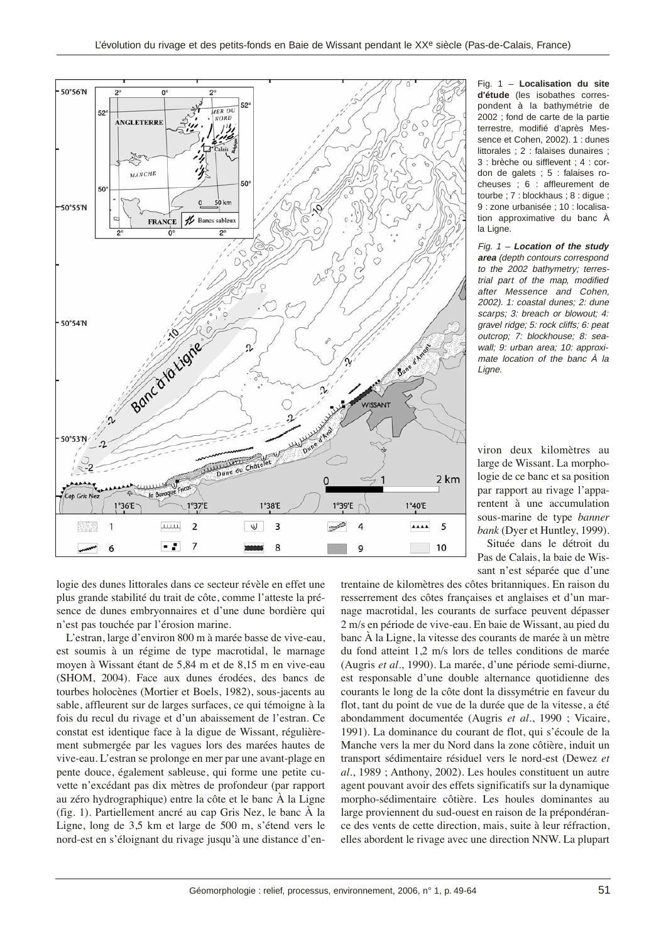

Fig. 1 – **Localisation du site d'étude** (les isobathes correspondent à la bathymétrie de 2002 ; fond de carte de la partie terrestre, modifié d'après Messence et Cohen, 2002). 1 : dunes littorales ; 2 : falaises dunaires ; 3 : brèche ou sifflevent ; 4 : cordon de galets ; 5 : falaises rocheuses ; 6 : affleurement de tourbe ; 7 : blockhaus ; 8 : digue ; 9 : zone urbanisée ; 10 : localisation approximative du banc À la Ligne.

Fig. 1 – **Location of the study area** (depth contours correspond to the 2002 bathymetry; terrestrial part of the map, modified after Messence and Cohen, 2002). 1: coastal dunes; 2: dune scarps; 3: breach or blowout; 4: gravel ridge; 5: rock cliffs; 6: peat outcrop; 7: blockhouse; 8: seawall; 9: urban area; 10: approximate location of the banc À la Liane.

viron deux kilomètres au large de Wissant. La morphologie de ce banc et sa position par rapport au rivage l'apparentent à une accumulation sous-marine de type *banner bank* (Dyer et Huntley, 1999).

Située dans le détroit du Pas de Calais, la baie de Wissant n'est séparée que d'une

logie des dunes littorales dans ce secteur révèle en effet une plus grande stabilité du trait de côte, comme l'atteste la présence de dunes embryonnaires et d'une dune bordière qui n'est pas touchée par l'érosion marine.

L'estran, large d'environ 800 m à marée basse de vive-eau, est soumis à un régime de type macrotidal, le marnage moyen à Wissant étant de 5,84 m et de 8,15 m en vive-eau (SHOM, 2004). Face aux dunes érodées, des bancs de tourbes holocènes (Mortier et Boels, 1982), sous-jacents au sable, affleurent sur de larges surfaces, ce qui témoigne à la fois du recul du rivage et d'un abaissement de l'estran. Ce constat est identique face à la digue de Wissant, régulièrement submergée par les vagues lors des marées hautes de vive-eau. L'estran se prolonge en mer par une avant-plage en pente douce, également sableuse, qui forme une petite cuvette n'excédant pas dix mètres de profondeur (par rapport au zéro hydrographique) entre la côte et le banc À la Ligne (fig. 1). Partiellement ancré au cap Gris Nez, le banc À la Ligne, long de 3,5 km et large de 500 m, s'étend vers le nord-est en s'éloignant du rivage jusqu'à une distance d'en-

trentaine de kilomètres des côtes britanniques. En raison du resserrement des côtes françaises et anglaises et d'un marnage macrotidal, les courants de surface peuvent dépasser 2 m/s en période de vive-eau. En baie de Wissant, au pied du banc À la Ligne, la vitesse des courants de marée à un mètre du fond atteint 1,2 m/s lors de telles conditions de marée (Augris *et al*., 1990). La marée, d'une période semi-diurne, est responsable d'une double alternance quotidienne des courants le long de la côte dont la dissymétrie en faveur du flot, tant du point de vue de la durée que de la vitesse, a été abondamment documentée (Augris *et al*., 1990 ; Vicaire, 1991). La dominance du courant de flot, qui s'écoule de la Manche vers la mer du Nord dans la zone côtière, induit un transport sédimentaire résiduel vers le nord-est (Dewez *et al*., 1989 ; Anthony, 2002). Les houles constituent un autre agent pouvant avoir des effets significatifs sur la dynamique morpho-sédimentaire côtière. Les houles dominantes au large proviennent du sud-ouest en raison de la prépondérance des vents de cette direction, mais, suite à leur réfraction, elles abordent le rivage avec une direction NNW. La plupart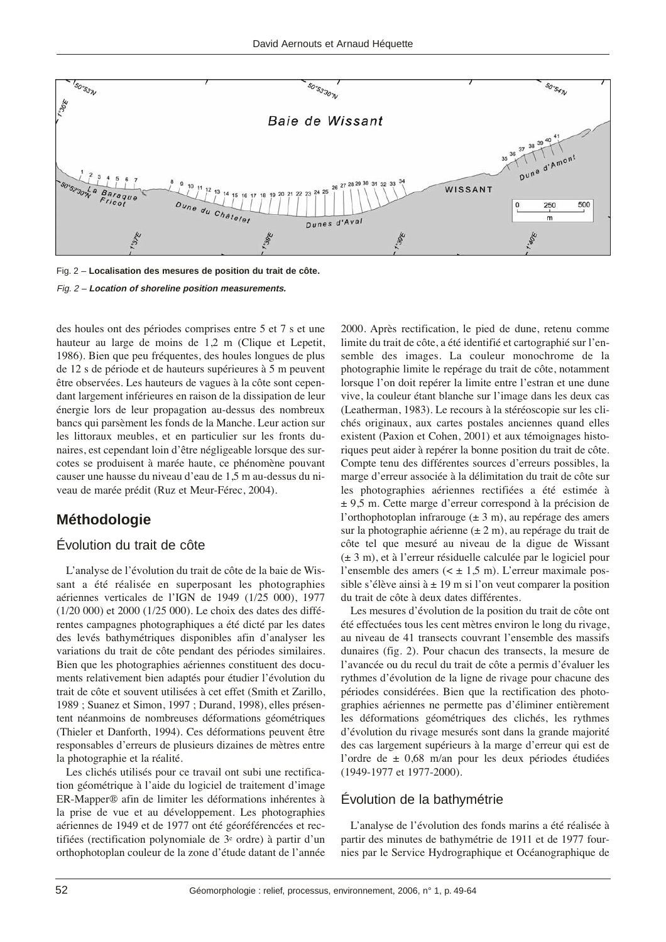

Fig. 2 – **Localisation des mesures de position du trait de côte.** Fig. 2 – **Location of shoreline position measurements.**

des houles ont des périodes comprises entre 5 et 7 s et une hauteur au large de moins de 1,2 m (Clique et Lepetit, 1986). Bien que peu fréquentes, des houles longues de plus de 12 s de période et de hauteurs supérieures à 5 m peuvent être observées. Les hauteurs de vagues à la côte sont cependant largement inférieures en raison de la dissipation de leur énergie lors de leur propagation au-dessus des nombreux bancs qui parsèment les fonds de la Manche. Leur action sur les littoraux meubles, et en particulier sur les fronts dunaires, est cependant loin d'être négligeable lorsque des surcotes se produisent à marée haute, ce phénomène pouvant causer une hausse du niveau d'eau de 1,5 m au-dessus du niveau de marée prédit (Ruz et Meur-Férec, 2004).

## **Méthodologie**

### Évolution du trait de côte

L'analyse de l'évolution du trait de côte de la baie de Wissant a été réalisée en superposant les photographies aériennes verticales de l'IGN de 1949 (1/25 000), 1977 (1/20 000) et 2000 (1/25 000). Le choix des dates des différentes campagnes photographiques a été dicté par les dates des levés bathymétriques disponibles afin d'analyser les variations du trait de côte pendant des périodes similaires. Bien que les photographies aériennes constituent des documents relativement bien adaptés pour étudier l'évolution du trait de côte et souvent utilisées à cet effet (Smith et Zarillo, 1989 ; Suanez et Simon, 1997 ; Durand, 1998), elles présentent néanmoins de nombreuses déformations géométriques (Thieler et Danforth, 1994). Ces déformations peuvent être responsables d'erreurs de plusieurs dizaines de mètres entre la photographie et la réalité.

Les clichés utilisés pour ce travail ont subi une rectification géométrique à l'aide du logiciel de traitement d'image ER-Mapper® afin de limiter les déformations inhérentes à la prise de vue et au développement. Les photographies aériennes de 1949 et de 1977 ont été géoréférencées et rectifiées (rectification polynomiale de 3e ordre) à partir d'un orthophotoplan couleur de la zone d'étude datant de l'année 2000. Après rectification, le pied de dune, retenu comme limite du trait de côte, a été identifié et cartographié sur l'ensemble des images. La couleur monochrome de la photographie limite le repérage du trait de côte, notamment lorsque l'on doit repérer la limite entre l'estran et une dune vive, la couleur étant blanche sur l'image dans les deux cas (Leatherman, 1983). Le recours à la stéréoscopie sur les clichés originaux, aux cartes postales anciennes quand elles existent (Paxion et Cohen, 2001) et aux témoignages historiques peut aider à repérer la bonne position du trait de côte. Compte tenu des différentes sources d'erreurs possibles, la marge d'erreur associée à la délimitation du trait de côte sur les photographies aériennes rectifiées a été estimée à ± 9,5 m. Cette marge d'erreur correspond à la précision de l'orthophotoplan infrarouge (± 3 m), au repérage des amers sur la photographie aérienne  $(\pm 2 \text{ m})$ , au repérage du trait de côte tel que mesuré au niveau de la digue de Wissant (± 3 m), et à l'erreur résiduelle calculée par le logiciel pour l'ensemble des amers  $( $\pm 1.5$  m). L'erreur maximale pos$ sible s'élève ainsi à  $\pm$  19 m si l'on veut comparer la position du trait de côte à deux dates différentes.

Les mesures d'évolution de la position du trait de côte ont été effectuées tous les cent mètres environ le long du rivage, au niveau de 41 transects couvrant l'ensemble des massifs dunaires (fig. 2). Pour chacun des transects, la mesure de l'avancée ou du recul du trait de côte a permis d'évaluer les rythmes d'évolution de la ligne de rivage pour chacune des périodes considérées. Bien que la rectification des photographies aériennes ne permette pas d'éliminer entièrement les déformations géométriques des clichés, les rythmes d'évolution du rivage mesurés sont dans la grande majorité des cas largement supérieurs à la marge d'erreur qui est de l'ordre de ± 0,68 m/an pour les deux périodes étudiées (1949-1977 et 1977-2000).

## Évolution de la bathymétrie

L'analyse de l'évolution des fonds marins a été réalisée à partir des minutes de bathymétrie de 1911 et de 1977 fournies par le Service Hydrographique et Océanographique de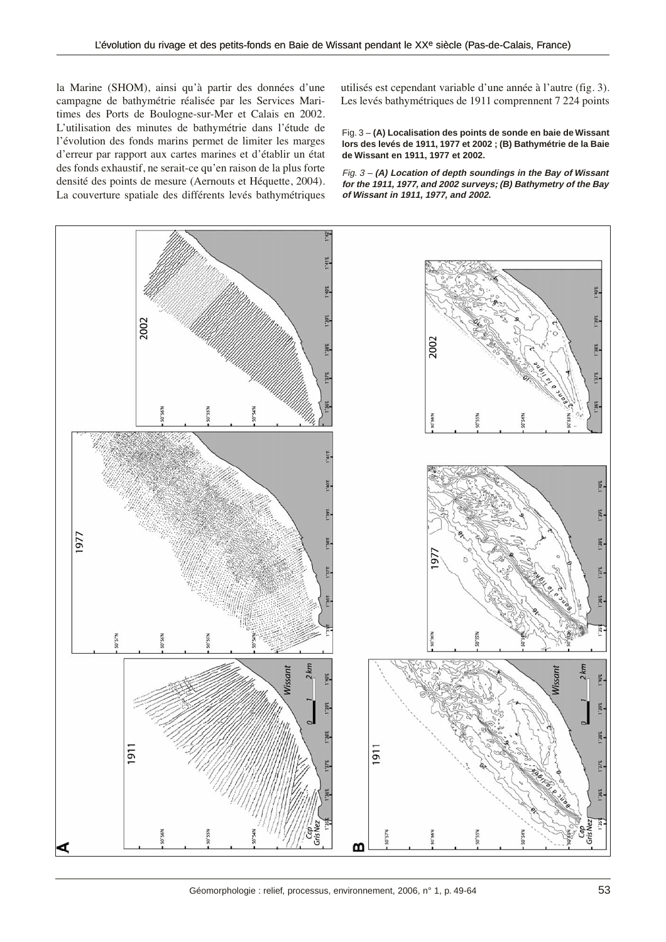la Marine (SHOM), ainsi qu'à partir des données d'une campagne de bathymétrie réalisée par les Services Maritimes des Ports de Boulogne-sur-Mer et Calais en 2002. L'utilisation des minutes de bathymétrie dans l'étude de l'évolution des fonds marins permet de limiter les marges d'erreur par rapport aux cartes marines et d'établir un état des fonds exhaustif, ne serait-ce qu'en raison de la plus forte densité des points de mesure (Aernouts et Héquette, 2004). La couverture spatiale des différents levés bathymétriques

utilisés est cependant variable d'une année à l'autre (fig. 3). Les levés bathymétriques de 1911 comprennent 7 224 points

#### Fig. 3 – **(A) Localisation des points de sonde en baie de Wissant lors des levés de 1911, 1977 et 2002 ; (B) Bathymétrie de la Baie de Wissant en 1911, 1977 et 2002.**

Fig. 3 – **(A) Location of depth soundings in the Bay of Wissant for the 1911, 1977, and 2002 surveys; (B) Bathymetry of the Bay of Wissant in 1911, 1977, and 2002.**



Géomorphologie : relief, processus, environnement, 2006, n° 1, p. 49-64 53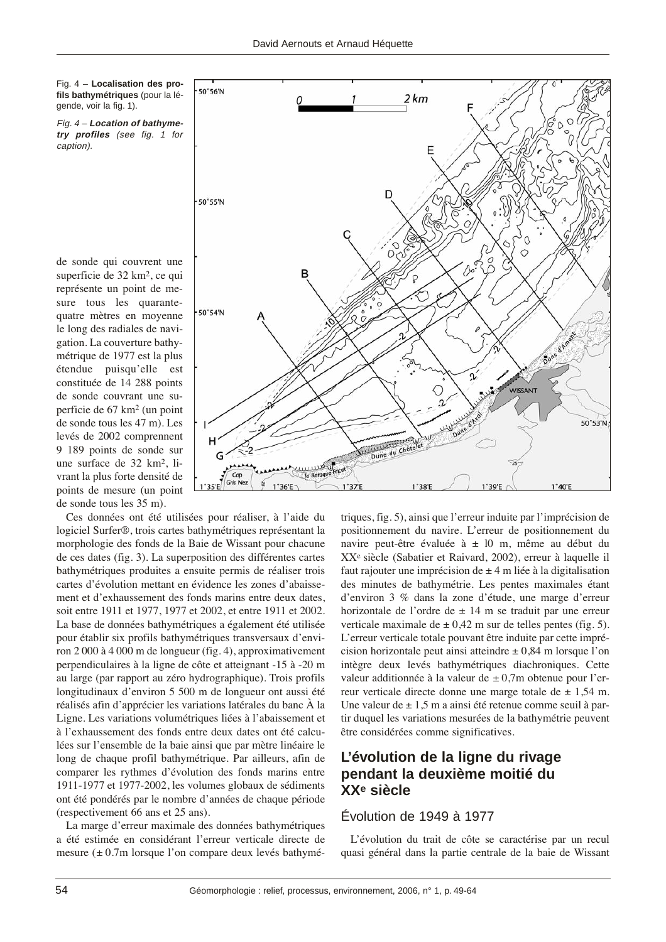Fig. 4 – **Localisation des profils bathymétriques** (pour la légende, voir la fig. 1).

Fig. 4 – **Location of bathymetry profiles** (see fig. 1 for caption).

de sonde qui couvrent une superficie de 32 km2, ce qui représente un point de mesure tous les quarantequatre mètres en moyenne le long des radiales de navigation. La couverture bathymétrique de 1977 est la plus étendue puisqu'elle est constituée de 14 288 points de sonde couvrant une superficie de 67 km2 (un point de sonde tous les 47 m). Les levés de 2002 comprennent 9 189 points de sonde sur une surface de 32 km2, livrant la plus forte densité de points de mesure (un point de sonde tous les 35 m).

Ces données ont été utilisées pour réaliser, à l'aide du logiciel Surfer®, trois cartes bathymétriques représentant la morphologie des fonds de la Baie de Wissant pour chacune de ces dates (fig. 3). La superposition des différentes cartes bathymétriques produites a ensuite permis de réaliser trois cartes d'évolution mettant en évidence les zones d'abaissement et d'exhaussement des fonds marins entre deux dates, soit entre 1911 et 1977, 1977 et 2002, et entre 1911 et 2002. La base de données bathymétriques a également été utilisée pour établir six profils bathymétriques transversaux d'environ 2 000 à 4 000 m de longueur (fig. 4), approximativement perpendiculaires à la ligne de côte et atteignant -15 à -20 m au large (par rapport au zéro hydrographique). Trois profils longitudinaux d'environ 5 500 m de longueur ont aussi été réalisés afin d'apprécier les variations latérales du banc À la Ligne. Les variations volumétriques liées à l'abaissement et à l'exhaussement des fonds entre deux dates ont été calculées sur l'ensemble de la baie ainsi que par mètre linéaire le long de chaque profil bathymétrique. Par ailleurs, afin de comparer les rythmes d'évolution des fonds marins entre 1911-1977 et 1977-2002, les volumes globaux de sédiments ont été pondérés par le nombre d'années de chaque période (respectivement 66 ans et 25 ans).

La marge d'erreur maximale des données bathymétriques a été estimée en considérant l'erreur verticale directe de mesure (*±* 0.7m lorsque l'on compare deux levés bathymé-



triques, fig. 5), ainsi que l'erreur induite par l'imprécision de positionnement du navire. L'erreur de positionnement du navire peut-être évaluée à ± l0 m, même au début du XXe siècle (Sabatier et Raivard, 2002), erreur à laquelle il faut rajouter une imprécision de  $\pm$  4 m liée à la digitalisation des minutes de bathymétrie. Les pentes maximales étant d'environ 3 % dans la zone d'étude, une marge d'erreur horizontale de l'ordre de  $\pm$  14 m se traduit par une erreur verticale maximale de  $\pm$  0,42 m sur de telles pentes (fig. 5). L'erreur verticale totale pouvant être induite par cette imprécision horizontale peut ainsi atteindre  $\pm$  0,84 m lorsque l'on intègre deux levés bathymétriques diachroniques. Cette valeur additionnée à la valeur de *±* 0,7m obtenue pour l'erreur verticale directe donne une marge totale de  $\pm$  1,54 m. Une valeur de  $\pm$  1,5 m a ainsi été retenue comme seuil à partir duquel les variations mesurées de la bathymétrie peuvent être considérées comme significatives.

## **L'évolution de la ligne du rivage pendant la deuxième moitié du XXe siècle**

## Évolution de 1949 à 1977

L'évolution du trait de côte se caractérise par un recul quasi général dans la partie centrale de la baie de Wissant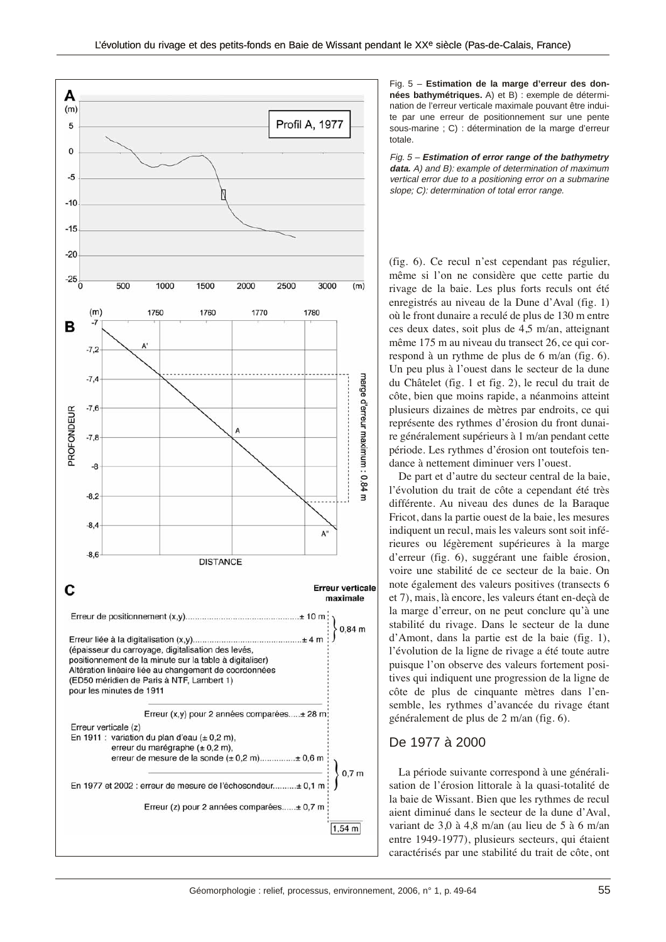

Fig. 5 – **Estimation de la marge d'erreur des données bathymétriques.** A) et B) : exemple de détermination de l'erreur verticale maximale pouvant être induite par une erreur de positionnement sur une pente sous-marine ; C) : détermination de la marge d'erreur totale.

Fig. 5 – **Estimation of error range of the bathymetry data.** A) and B): example of determination of maximum vertical error due to a positioning error on a submarine slope; C): determination of total error range.

(fig. 6). Ce recul n'est cependant pas régulier, même si l'on ne considère que cette partie du rivage de la baie. Les plus forts reculs ont été enregistrés au niveau de la Dune d'Aval (fig. 1) où le front dunaire a reculé de plus de 130 m entre ces deux dates, soit plus de 4,5 m/an, atteignant même 175 m au niveau du transect 26, ce qui correspond à un rythme de plus de 6 m/an (fig. 6). Un peu plus à l'ouest dans le secteur de la dune du Châtelet (fig. 1 et fig. 2), le recul du trait de côte, bien que moins rapide, a néanmoins atteint plusieurs dizaines de mètres par endroits, ce qui représente des rythmes d'érosion du front dunaire généralement supérieurs à 1 m/an pendant cette période. Les rythmes d'érosion ont toutefois tendance à nettement diminuer vers l'ouest.

De part et d'autre du secteur central de la baie, l'évolution du trait de côte a cependant été très différente. Au niveau des dunes de la Baraque Fricot, dans la partie ouest de la baie, les mesures indiquent un recul, mais les valeurs sont soit inférieures ou légèrement supérieures à la marge d'erreur (fig. 6), suggérant une faible érosion, voire une stabilité de ce secteur de la baie. On note également des valeurs positives (transects 6 et 7), mais, là encore, les valeurs étant en-deçà de la marge d'erreur, on ne peut conclure qu'à une stabilité du rivage. Dans le secteur de la dune d'Amont, dans la partie est de la baie (fig. 1), l'évolution de la ligne de rivage a été toute autre puisque l'on observe des valeurs fortement positives qui indiquent une progression de la ligne de côte de plus de cinquante mètres dans l'ensemble, les rythmes d'avancée du rivage étant généralement de plus de 2 m/an (fig. 6).

#### De 1977 à 2000

La période suivante correspond à une généralisation de l'érosion littorale à la quasi-totalité de la baie de Wissant. Bien que les rythmes de recul aient diminué dans le secteur de la dune d'Aval, variant de 3,0 à 4,8 m/an (au lieu de 5 à 6 m/an entre 1949-1977), plusieurs secteurs, qui étaient caractérisés par une stabilité du trait de côte, ont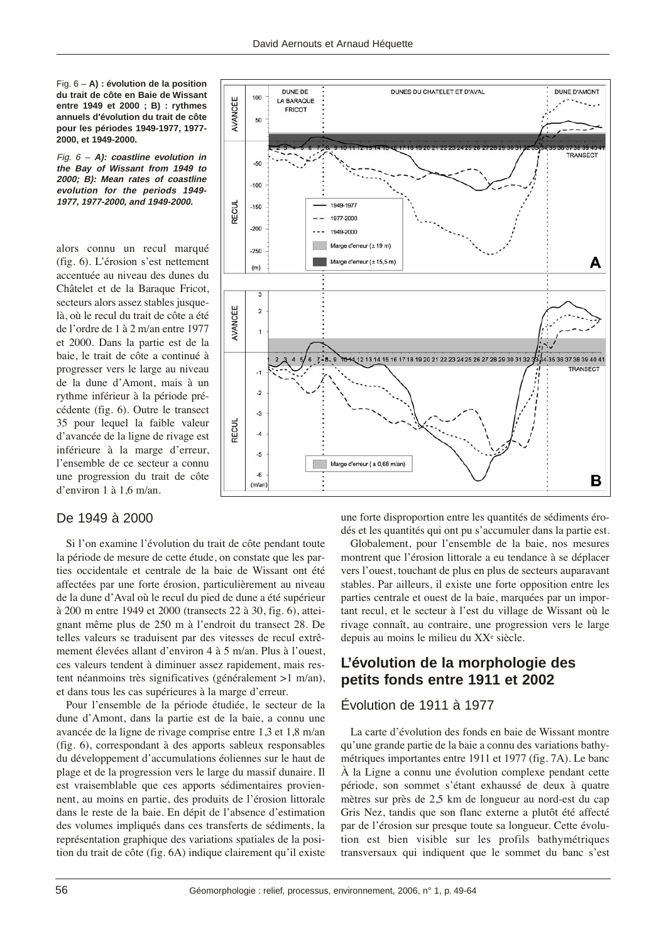Fig. 6 – **A) : évolution de la position du trait de côte en Baie de Wissant entre 1949 et 2000 ; B) : rythmes annuels d'évolution du trait de côte pour les périodes 1949-1977, 1977- 2000, et 1949-2000.**

Fig. 6 – **A): coastline evolution in the Bay of Wissant from 1949 to 2000; B): Mean rates of coastline evolution for the periods 1949- 1977, 1977-2000, and 1949-2000.**

alors connu un recul marqué (fig. 6). L'érosion s'est nettement accentuée au niveau des dunes du Châtelet et de la Baraque Fricot, secteurs alors assez stables jusquelà, où le recul du trait de côte a été de l'ordre de 1 à 2 m/an entre 1977 et 2000. Dans la partie est de la baie, le trait de côte a continué à progresser vers le large au niveau de la dune d'Amont, mais à un rythme inférieur à la période précédente (fig. 6). Outre le transect 35 pour lequel la faible valeur d'avancée de la ligne de rivage est inférieure à la marge d'erreur, l'ensemble de ce secteur a connu une progression du trait de côte d'environ 1 à 1,6 m/an.

## De 1949 à 2000

Si l'on examine l'évolution du trait de côte pendant toute la période de mesure de cette étude, on constate que les parties occidentale et centrale de la baie de Wissant ont été affectées par une forte érosion, particulièrement au niveau de la dune d'Aval où le recul du pied de dune a été supérieur à 200 m entre 1949 et 2000 (transects 22 à 30, fig. 6), atteignant même plus de 250 m à l'endroit du transect 28. De telles valeurs se traduisent par des vitesses de recul extrêmement élevées allant d'environ 4 à 5 m/an. Plus à l'ouest, ces valeurs tendent à diminuer assez rapidement, mais restent néanmoins très significatives (généralement >1 m/an), et dans tous les cas supérieures à la marge d'erreur.

Pour l'ensemble de la période étudiée, le secteur de la dune d'Amont, dans la partie est de la baie, a connu une avancée de la ligne de rivage comprise entre 1,3 et 1,8 m/an (fig. 6), correspondant à des apports sableux responsables du développement d'accumulations éoliennes sur le haut de plage et de la progression vers le large du massif dunaire. Il est vraisemblable que ces apports sédimentaires proviennent, au moins en partie, des produits de l'érosion littorale dans le reste de la baie. En dépit de l'absence d'estimation des volumes impliqués dans ces transferts de sédiments, la représentation graphique des variations spatiales de la position du trait de côte (fig. 6A) indique clairement qu'il existe



une forte disproportion entre les quantités de sédiments érodés et les quantités qui ont pu s'accumuler dans la partie est.

Globalement, pour l'ensemble de la baie, nos mesures montrent que l'érosion littorale a eu tendance à se déplacer vers l'ouest, touchant de plus en plus de secteurs auparavant stables. Par ailleurs, il existe une forte opposition entre les parties centrale et ouest de la baie, marquées par un important recul, et le secteur à l'est du village de Wissant où le rivage connaît, au contraire, une progression vers le large depuis au moins le milieu du XXe siècle.

## **L'évolution de la morphologie des petits fonds entre 1911 et 2002**

## Évolution de 1911 à 1977

La carte d'évolution des fonds en baie de Wissant montre qu'une grande partie de la baie a connu des variations bathymétriques importantes entre 1911 et 1977 (fig. 7A). Le banc À la Ligne a connu une évolution complexe pendant cette période, son sommet s'étant exhaussé de deux à quatre mètres sur près de 2,5 km de longueur au nord-est du cap Gris Nez, tandis que son flanc externe a plutôt été affecté par de l'érosion sur presque toute sa longueur. Cette évolution est bien visible sur les profils bathymétriques transversaux qui indiquent que le sommet du banc s'est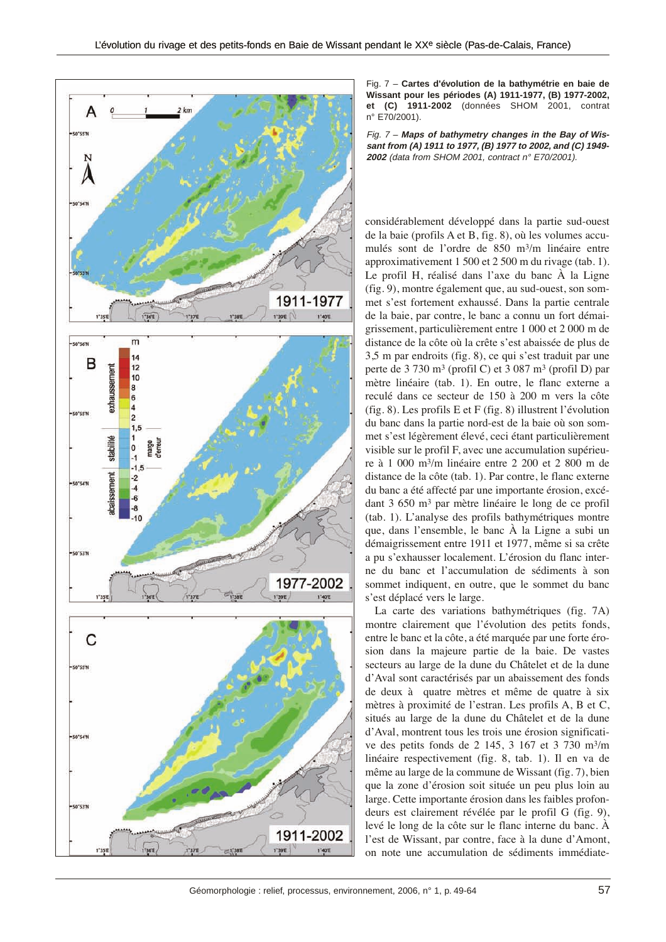

Fig. 7 – **Cartes d'évolution de la bathymétrie en baie de Wissant pour les périodes (A) 1911-1977, (B) 1977-2002, et (C) 1911-2002** (données SHOM 2001, contrat n° E70/2001).

Fig. 7 – **Maps of bathymetry changes in the Bay of Wissant from (A) 1911 to 1977, (B) 1977 to 2002, and (C) 1949- 2002** (data from SHOM 2001, contract n° E70/2001).

considérablement développé dans la partie sud-ouest de la baie (profils A et B, fig. 8), où les volumes accumulés sont de l'ordre de 850 m3/m linéaire entre approximativement 1 500 et 2 500 m du rivage (tab. 1). Le profil H, réalisé dans l'axe du banc À la Ligne (fig. 9), montre également que, au sud-ouest, son sommet s'est fortement exhaussé. Dans la partie centrale de la baie, par contre, le banc a connu un fort démaigrissement, particulièrement entre 1 000 et 2 000 m de distance de la côte où la crête s'est abaissée de plus de 3,5 m par endroits (fig. 8), ce qui s'est traduit par une perte de 3 730 m3 (profil C) et 3 087 m3 (profil D) par mètre linéaire (tab. 1). En outre, le flanc externe a reculé dans ce secteur de 150 à 200 m vers la côte (fig. 8). Les profils E et F (fig. 8) illustrent l'évolution du banc dans la partie nord-est de la baie où son sommet s'est légèrement élevé, ceci étant particulièrement visible sur le profil F, avec une accumulation supérieure à 1 000 m3/m linéaire entre 2 200 et 2 800 m de distance de la côte (tab. 1). Par contre, le flanc externe du banc a été affecté par une importante érosion, excédant 3 650 m3 par mètre linéaire le long de ce profil (tab. 1). L'analyse des profils bathymétriques montre que, dans l'ensemble, le banc À la Ligne a subi un démaigrissement entre 1911 et 1977, même si sa crête a pu s'exhausser localement. L'érosion du flanc interne du banc et l'accumulation de sédiments à son sommet indiquent, en outre, que le sommet du banc s'est déplacé vers le large.

La carte des variations bathymétriques (fig. 7A) montre clairement que l'évolution des petits fonds, entre le banc et la côte, a été marquée par une forte érosion dans la majeure partie de la baie. De vastes secteurs au large de la dune du Châtelet et de la dune d'Aval sont caractérisés par un abaissement des fonds de deux à quatre mètres et même de quatre à six mètres à proximité de l'estran. Les profils A, B et C, situés au large de la dune du Châtelet et de la dune d'Aval, montrent tous les trois une érosion significative des petits fonds de 2 145, 3 167 et 3 730 m3/m linéaire respectivement (fig. 8, tab. 1). Il en va de même au large de la commune de Wissant (fig. 7), bien que la zone d'érosion soit située un peu plus loin au large. Cette importante érosion dans les faibles profondeurs est clairement révélée par le profil G (fig. 9), levé le long de la côte sur le flanc interne du banc. À l'est de Wissant, par contre, face à la dune d'Amont, on note une accumulation de sédiments immédiate-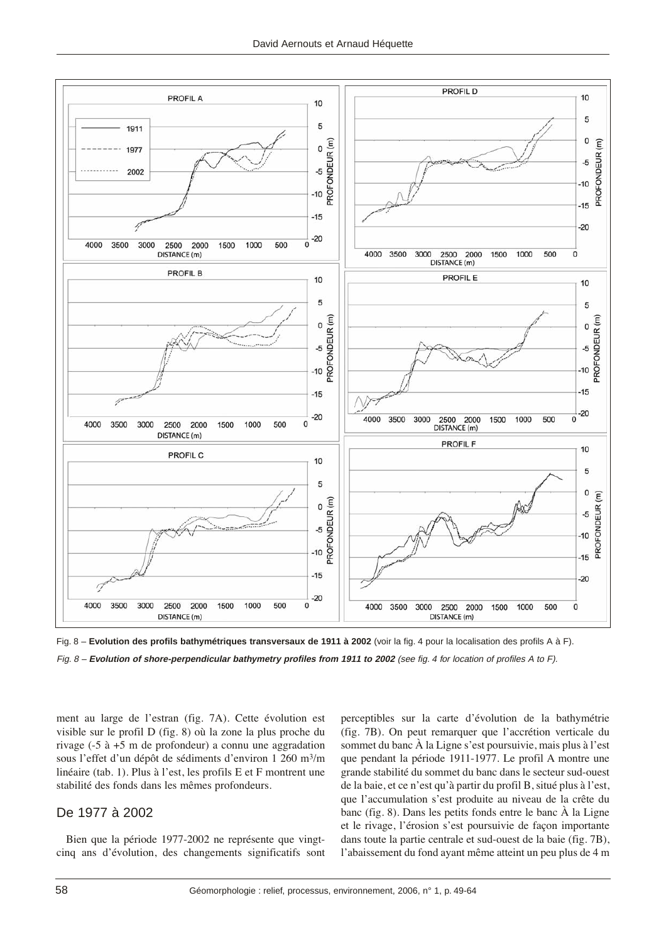



ment au large de l'estran (fig. 7A). Cette évolution est visible sur le profil D (fig. 8) où la zone la plus proche du rivage (-5 à +5 m de profondeur) a connu une aggradation sous l'effet d'un dépôt de sédiments d'environ 1 260 m<sup>3</sup>/m linéaire (tab. 1). Plus à l'est, les profils E et F montrent une stabilité des fonds dans les mêmes profondeurs.

### De 1977 à 2002

Bien que la période 1977-2002 ne représente que vingtcinq ans d'évolution, des changements significatifs sont perceptibles sur la carte d'évolution de la bathymétrie (fig. 7B). On peut remarquer que l'accrétion verticale du sommet du banc À la Ligne s'est poursuivie, mais plus à l'est que pendant la période 1911-1977. Le profil A montre une grande stabilité du sommet du banc dans le secteur sud-ouest de la baie, et ce n'est qu'à partir du profil B, situé plus à l'est, que l'accumulation s'est produite au niveau de la crête du banc (fig. 8). Dans les petits fonds entre le banc À la Ligne et le rivage, l'érosion s'est poursuivie de façon importante dans toute la partie centrale et sud-ouest de la baie (fig. 7B), l'abaissement du fond ayant même atteint un peu plus de 4 m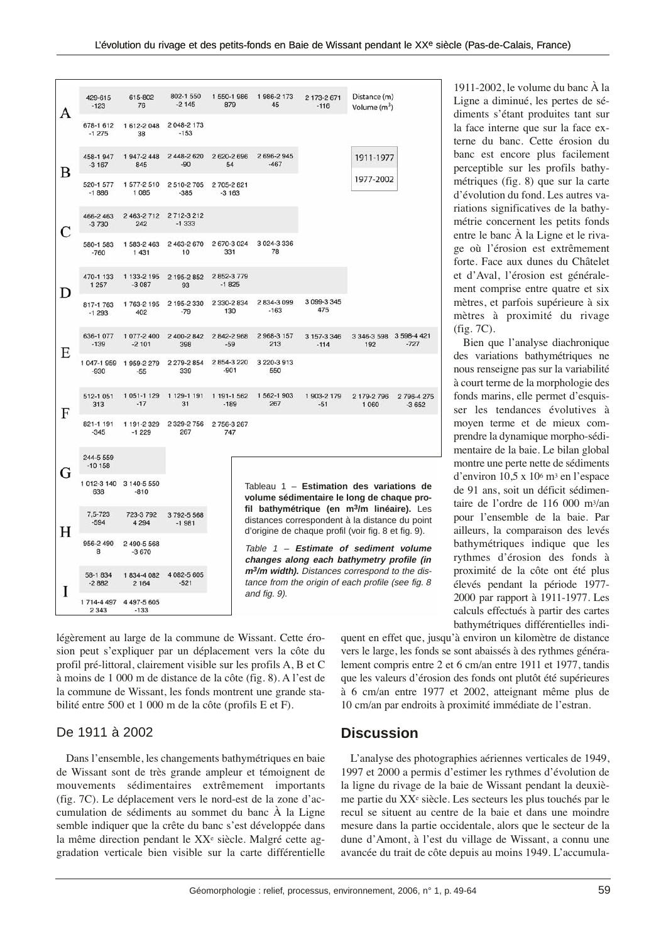| Α  | 429-615<br>$-123$     | 615-802<br>76          | 802-1 550<br>$-2145$    | 1 550-1 986<br>879    | 1986-2173<br>45                                                                                                                 | 2 173-2 671<br>$-116$                                                                                                                                           | Distance (m)<br>Volume (m <sup>3</sup> ) |                      |  |
|----|-----------------------|------------------------|-------------------------|-----------------------|---------------------------------------------------------------------------------------------------------------------------------|-----------------------------------------------------------------------------------------------------------------------------------------------------------------|------------------------------------------|----------------------|--|
|    | 678-1 612<br>$-1275$  | 1 612-2 048<br>38      | 2 048-2 173<br>$-153$   |                       |                                                                                                                                 |                                                                                                                                                                 |                                          |                      |  |
| B  | 458-1947<br>$-3167$   | 1947-2448<br>845       | 2 448-2 620<br>$-90$    | 2 620-2 696<br>54     | 2 696-2 945<br>$-467$                                                                                                           |                                                                                                                                                                 | 1911-1977                                |                      |  |
|    | 520-1 577<br>$-1886$  | 1577-2510<br>1085      | 2510-2705<br>$-385$     | 2705-2821<br>$-3163$  |                                                                                                                                 |                                                                                                                                                                 | 1977-2002                                |                      |  |
| C. | 466-2 463<br>$-3730$  | 2 463-2 712<br>242     | 2712-3212<br>$-1333$    |                       |                                                                                                                                 |                                                                                                                                                                 |                                          |                      |  |
|    | 580-1 583<br>$-760$   | 1 583-2 463<br>1 4 3 1 | 2 463-2 670<br>10       | 2 670-3 024<br>331    | 3 024-3 336<br>78                                                                                                               |                                                                                                                                                                 |                                          |                      |  |
| D  | 470-1 133<br>1 2 5 7  | 1 133-2 195<br>$-3087$ | 2 195-2 852<br>93       | 2852-3779<br>$-1825$  |                                                                                                                                 |                                                                                                                                                                 |                                          |                      |  |
|    | 817-1763<br>$-1293$   | 1763-2195<br>402       | 2 195-2 330<br>$-79$    | 2 330-2 834<br>130    | 2834-3099<br>$-163$                                                                                                             | 3 099-3 345<br>475                                                                                                                                              |                                          |                      |  |
| E  | 636-1 077<br>$-139$   | 1 077-2 400<br>$-2101$ | 2 400-2 842<br>398      | 2 842-2 968<br>$-59$  | 2968-3157<br>213                                                                                                                | 3 157-3 346<br>$-114$                                                                                                                                           | 3 346-3 598 3 598-4 421<br>192           | $-727$               |  |
|    | 1 047-1 959<br>$-930$ | 1959-2279<br>$-55$     | 2 279-2 854<br>339      | 2854-3220<br>$-901$   | 3 220-3 913<br>550                                                                                                              |                                                                                                                                                                 |                                          |                      |  |
| F  | 512-1 051<br>313      | 1 051-1 129<br>$-17$   | 1 129-1 191<br>31       | 1 191-1 562<br>$-189$ | 1 562-1 903<br>267                                                                                                              | 1 903-2 179<br>$-51$                                                                                                                                            | 2 179-2 796<br>1 0 6 0                   | 2796-4275<br>$-3652$ |  |
|    | 821-1 191<br>$-345$   | 1 191-2 329<br>$-1229$ | 2 3 29 - 2 7 5 6<br>267 | 2 756-3 267<br>747    |                                                                                                                                 |                                                                                                                                                                 |                                          |                      |  |
| G  | 244-5 559<br>$-10158$ |                        |                         |                       |                                                                                                                                 |                                                                                                                                                                 |                                          |                      |  |
|    | 1012-3140<br>638      | 3 140-5 550<br>$-810$  |                         |                       |                                                                                                                                 | Tableau $1$ – Estimation des variations de<br>volume sédimentaire le long de chaque pro-                                                                        |                                          |                      |  |
| Н  | 7.5-723<br>$-594$     | 723-3 792<br>4 2 9 4   | 3 792-5 568<br>$-1981$  |                       |                                                                                                                                 | fil bathymétrique (en m <sup>3</sup> /m linéaire). Les<br>distances correspondent à la distance du point<br>d'origine de chaque profil (voir fig. 8 et fig. 9). |                                          |                      |  |
|    | 956-2 490<br>8        | 2 490-5 568<br>$-3670$ |                         |                       |                                                                                                                                 | Table 1 - Estimate of sediment volume<br>changes along each bathymetry profile (in                                                                              |                                          |                      |  |
| I  | 58-1 834<br>$-2882$   | 1834-4082<br>2 1 6 4   | 4 082-5 605<br>$-521$   |                       | m <sup>3</sup> /m width). Distances correspond to the dis-<br>tance from the origin of each profile (see fig. 8<br>and fig. 9). |                                                                                                                                                                 |                                          |                      |  |
|    | 1714-4497<br>2 3 4 3  | 4 497-5 605<br>$-133$  |                         |                       |                                                                                                                                 |                                                                                                                                                                 |                                          |                      |  |

légèrement au large de la commune de Wissant. Cette érosion peut s'expliquer par un déplacement vers la côte du profil pré-littoral, clairement visible sur les profils A, B et C à moins de 1 000 m de distance de la côte (fig. 8). A l'est de la commune de Wissant, les fonds montrent une grande stabilité entre 500 et 1 000 m de la côte (profils E et F).

## De 1911 à 2002

Dans l'ensemble, les changements bathymétriques en baie de Wissant sont de très grande ampleur et témoignent de mouvements sédimentaires extrêmement importants (fig. 7C). Le déplacement vers le nord-est de la zone d'accumulation de sédiments au sommet du banc À la Ligne semble indiquer que la crête du banc s'est développée dans la même direction pendant le XXe siècle. Malgré cette aggradation verticale bien visible sur la carte différentielle quent en effet que, jusqu'à environ un kilomètre de distance vers le large, les fonds se sont abaissés à des rythmes généralement compris entre 2 et 6 cm/an entre 1911 et 1977, tandis que les valeurs d'érosion des fonds ont plutôt été supérieures à 6 cm/an entre 1977 et 2002, atteignant même plus de 10 cm/an par endroits à proximité immédiate de l'estran.

## **Discussion**

L'analyse des photographies aériennes verticales de 1949, 1997 et 2000 a permis d'estimer les rythmes d'évolution de la ligne du rivage de la baie de Wissant pendant la deuxième partie du XXe siècle. Les secteurs les plus touchés par le recul se situent au centre de la baie et dans une moindre mesure dans la partie occidentale, alors que le secteur de la dune d'Amont, à l'est du village de Wissant, a connu une avancée du trait de côte depuis au moins 1949. L'accumula-

1911-2002, le volume du banc À la Ligne a diminué, les pertes de sédiments s'étant produites tant sur la face interne que sur la face externe du banc. Cette érosion du banc est encore plus facilement perceptible sur les profils bathymétriques (fig. 8) que sur la carte d'évolution du fond. Les autres variations significatives de la bathymétrie concernent les petits fonds entre le banc À la Ligne et le rivage où l'érosion est extrêmement forte. Face aux dunes du Châtelet et d'Aval, l'érosion est généralement comprise entre quatre et six mètres, et parfois supérieure à six mètres à proximité du rivage (fig. 7C).

Bien que l'analyse diachronique des variations bathymétriques ne nous renseigne pas sur la variabilité à court terme de la morphologie des fonds marins, elle permet d'esquisser les tendances évolutives à moyen terme et de mieux comprendre la dynamique morpho-sédimentaire de la baie. Le bilan global montre une perte nette de sédiments d'environ 10,5 x 106 m3 en l'espace de 91 ans, soit un déficit sédimentaire de l'ordre de 116 000 m3/an pour l'ensemble de la baie. Par ailleurs, la comparaison des levés bathymétriques indique que les rythmes d'érosion des fonds à proximité de la côte ont été plus élevés pendant la période 1977- 2000 par rapport à 1911-1977. Les calculs effectués à partir des cartes bathymétriques différentielles indi-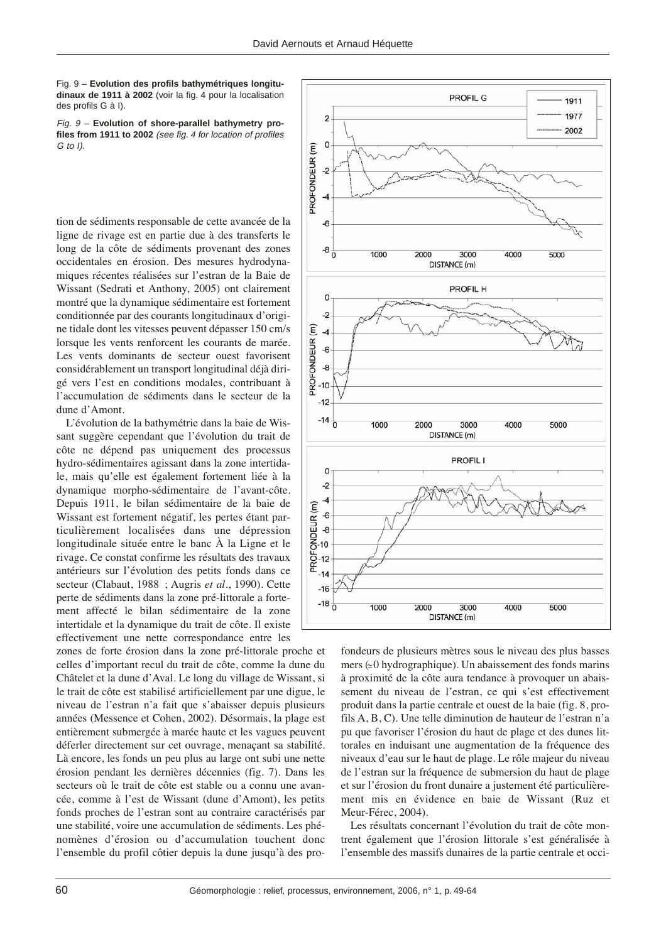Fig. 9 – **Evolution des profils bathymétriques longitudinaux de 1911 à 2002** (voir la fig. 4 pour la localisation des profils G à I).

Fig. 9 – **Evolution of shore-parallel bathymetry profiles from 1911 to 2002** (see fig. 4 for location of profiles G to I).

tion de sédiments responsable de cette avancée de la ligne de rivage est en partie due à des transferts le long de la côte de sédiments provenant des zones occidentales en érosion. Des mesures hydrodynamiques récentes réalisées sur l'estran de la Baie de Wissant (Sedrati et Anthony, 2005) ont clairement montré que la dynamique sédimentaire est fortement conditionnée par des courants longitudinaux d'origine tidale dont les vitesses peuvent dépasser 150 cm/s lorsque les vents renforcent les courants de marée. Les vents dominants de secteur ouest favorisent considérablement un transport longitudinal déjà dirigé vers l'est en conditions modales, contribuant à l'accumulation de sédiments dans le secteur de la dune d'Amont.

L'évolution de la bathymétrie dans la baie de Wissant suggère cependant que l'évolution du trait de côte ne dépend pas uniquement des processus hydro-sédimentaires agissant dans la zone intertidale, mais qu'elle est également fortement liée à la dynamique morpho-sédimentaire de l'avant-côte. Depuis 1911, le bilan sédimentaire de la baie de Wissant est fortement négatif, les pertes étant particulièrement localisées dans une dépression longitudinale située entre le banc À la Ligne et le rivage. Ce constat confirme les résultats des travaux antérieurs sur l'évolution des petits fonds dans ce secteur (Clabaut, 1988 ; Augris *et al*., 1990). Cette perte de sédiments dans la zone pré-littorale a fortement affecté le bilan sédimentaire de la zone intertidale et la dynamique du trait de côte. Il existe effectivement une nette correspondance entre les

zones de forte érosion dans la zone pré-littorale proche et celles d'important recul du trait de côte, comme la dune du Châtelet et la dune d'Aval. Le long du village de Wissant, si le trait de côte est stabilisé artificiellement par une digue, le niveau de l'estran n'a fait que s'abaisser depuis plusieurs années (Messence et Cohen, 2002). Désormais, la plage est entièrement submergée à marée haute et les vagues peuvent déferler directement sur cet ouvrage, menaçant sa stabilité. Là encore, les fonds un peu plus au large ont subi une nette érosion pendant les dernières décennies (fig. 7). Dans les secteurs où le trait de côte est stable ou a connu une avancée, comme à l'est de Wissant (dune d'Amont), les petits fonds proches de l'estran sont au contraire caractérisés par une stabilité, voire une accumulation de sédiments. Les phénomènes d'érosion ou d'accumulation touchent donc l'ensemble du profil côtier depuis la dune jusqu'à des pro-



fondeurs de plusieurs mètres sous le niveau des plus basses  $mers \approx 0$  hydrographique). Un abaissement des fonds marins à proximité de la côte aura tendance à provoquer un abaissement du niveau de l'estran, ce qui s'est effectivement produit dans la partie centrale et ouest de la baie (fig. 8, profils A, B, C). Une telle diminution de hauteur de l'estran n'a pu que favoriser l'érosion du haut de plage et des dunes littorales en induisant une augmentation de la fréquence des niveaux d'eau sur le haut de plage. Le rôle majeur du niveau de l'estran sur la fréquence de submersion du haut de plage et sur l'érosion du front dunaire a justement été particulièrement mis en évidence en baie de Wissant (Ruz et Meur-Férec, 2004).

Les résultats concernant l'évolution du trait de côte montrent également que l'érosion littorale s'est généralisée à l'ensemble des massifs dunaires de la partie centrale et occi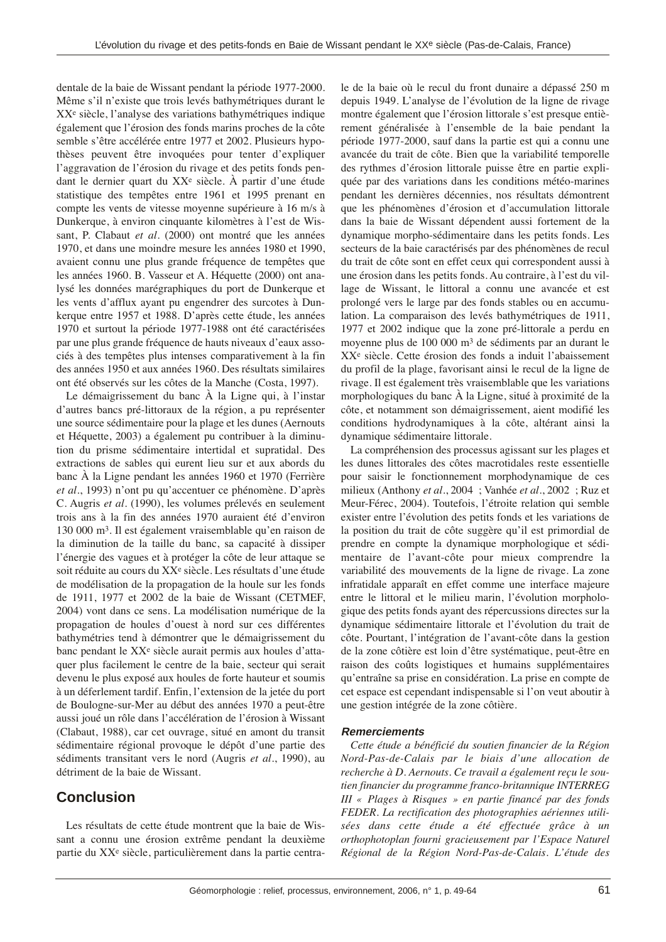dentale de la baie de Wissant pendant la période 1977-2000. Même s'il n'existe que trois levés bathymétriques durant le XXe siècle, l'analyse des variations bathymétriques indique également que l'érosion des fonds marins proches de la côte semble s'être accélérée entre 1977 et 2002. Plusieurs hypothèses peuvent être invoquées pour tenter d'expliquer l'aggravation de l'érosion du rivage et des petits fonds pendant le dernier quart du XXe siècle. À partir d'une étude statistique des tempêtes entre 1961 et 1995 prenant en compte les vents de vitesse moyenne supérieure à 16 m/s à Dunkerque, à environ cinquante kilomètres à l'est de Wissant, P. Clabaut *et al*. (2000) ont montré que les années 1970, et dans une moindre mesure les années 1980 et 1990, avaient connu une plus grande fréquence de tempêtes que les années 1960. B. Vasseur et A. Héquette (2000) ont analysé les données marégraphiques du port de Dunkerque et les vents d'afflux ayant pu engendrer des surcotes à Dunkerque entre 1957 et 1988. D'après cette étude, les années 1970 et surtout la période 1977-1988 ont été caractérisées par une plus grande fréquence de hauts niveaux d'eaux associés à des tempêtes plus intenses comparativement à la fin des années 1950 et aux années 1960. Des résultats similaires ont été observés sur les côtes de la Manche (Costa, 1997).

Le démaigrissement du banc À la Ligne qui, à l'instar d'autres bancs pré-littoraux de la région, a pu représenter une source sédimentaire pour la plage et les dunes (Aernouts et Héquette, 2003) a également pu contribuer à la diminution du prisme sédimentaire intertidal et supratidal. Des extractions de sables qui eurent lieu sur et aux abords du banc À la Ligne pendant les années 1960 et 1970 (Ferrière *et al*., 1993) n'ont pu qu'accentuer ce phénomène. D'après C. Augris *et al.* (1990), les volumes prélevés en seulement trois ans à la fin des années 1970 auraient été d'environ 130 000 m3. Il est également vraisemblable qu'en raison de la diminution de la taille du banc, sa capacité à dissiper l'énergie des vagues et à protéger la côte de leur attaque se soit réduite au cours du XXe siècle. Les résultats d'une étude de modélisation de la propagation de la houle sur les fonds de 1911, 1977 et 2002 de la baie de Wissant (CETMEF, 2004) vont dans ce sens. La modélisation numérique de la propagation de houles d'ouest à nord sur ces différentes bathymétries tend à démontrer que le démaigrissement du banc pendant le XXe siècle aurait permis aux houles d'attaquer plus facilement le centre de la baie, secteur qui serait devenu le plus exposé aux houles de forte hauteur et soumis à un déferlement tardif. Enfin, l'extension de la jetée du port de Boulogne-sur-Mer au début des années 1970 a peut-être aussi joué un rôle dans l'accélération de l'érosion à Wissant (Clabaut, 1988), car cet ouvrage, situé en amont du transit sédimentaire régional provoque le dépôt d'une partie des sédiments transitant vers le nord (Augris *et al.*, 1990), au détriment de la baie de Wissant.

## **Conclusion**

Les résultats de cette étude montrent que la baie de Wissant a connu une érosion extrême pendant la deuxième partie du XXe siècle, particulièrement dans la partie centrale de la baie où le recul du front dunaire a dépassé 250 m depuis 1949. L'analyse de l'évolution de la ligne de rivage montre également que l'érosion littorale s'est presque entièrement généralisée à l'ensemble de la baie pendant la période 1977-2000, sauf dans la partie est qui a connu une avancée du trait de côte. Bien que la variabilité temporelle des rythmes d'érosion littorale puisse être en partie expliquée par des variations dans les conditions météo-marines pendant les dernières décennies, nos résultats démontrent que les phénomènes d'érosion et d'accumulation littorale dans la baie de Wissant dépendent aussi fortement de la dynamique morpho-sédimentaire dans les petits fonds. Les secteurs de la baie caractérisés par des phénomènes de recul du trait de côte sont en effet ceux qui correspondent aussi à une érosion dans les petits fonds. Au contraire, à l'est du village de Wissant, le littoral a connu une avancée et est prolongé vers le large par des fonds stables ou en accumulation. La comparaison des levés bathymétriques de 1911, 1977 et 2002 indique que la zone pré-littorale a perdu en moyenne plus de 100 000 m3 de sédiments par an durant le XXe siècle. Cette érosion des fonds a induit l'abaissement du profil de la plage, favorisant ainsi le recul de la ligne de rivage. Il est également très vraisemblable que les variations morphologiques du banc À la Ligne, situé à proximité de la côte, et notamment son démaigrissement, aient modifié les conditions hydrodynamiques à la côte, altérant ainsi la dynamique sédimentaire littorale.

La compréhension des processus agissant sur les plages et les dunes littorales des côtes macrotidales reste essentielle pour saisir le fonctionnement morphodynamique de ces milieux (Anthony *et al*., 2004 ; Vanhée *et al*., 2002 ; Ruz et Meur-Férec, 2004). Toutefois, l'étroite relation qui semble exister entre l'évolution des petits fonds et les variations de la position du trait de côte suggère qu'il est primordial de prendre en compte la dynamique morphologique et sédimentaire de l'avant-côte pour mieux comprendre la variabilité des mouvements de la ligne de rivage. La zone infratidale apparaît en effet comme une interface majeure entre le littoral et le milieu marin, l'évolution morphologique des petits fonds ayant des répercussions directes sur la dynamique sédimentaire littorale et l'évolution du trait de côte. Pourtant, l'intégration de l'avant-côte dans la gestion de la zone côtière est loin d'être systématique, peut-être en raison des coûts logistiques et humains supplémentaires qu'entraîne sa prise en considération. La prise en compte de cet espace est cependant indispensable si l'on veut aboutir à une gestion intégrée de la zone côtière.

#### **Remerciements**

*Cette étude a bénéficié du soutien financier de la Région Nord-Pas-de-Calais par le biais d'une allocation de recherche à D. Aernouts. Ce travail a également reçu le soutien financier du programme franco-britannique INTERREG III « Plages à Risques » en partie financé par des fonds FEDER. La rectification des photographies aériennes utilisées dans cette étude a été effectuée grâce à un orthophotoplan fourni gracieusement par l'Espace Naturel Régional de la Région Nord-Pas-de-Calais. L'étude des*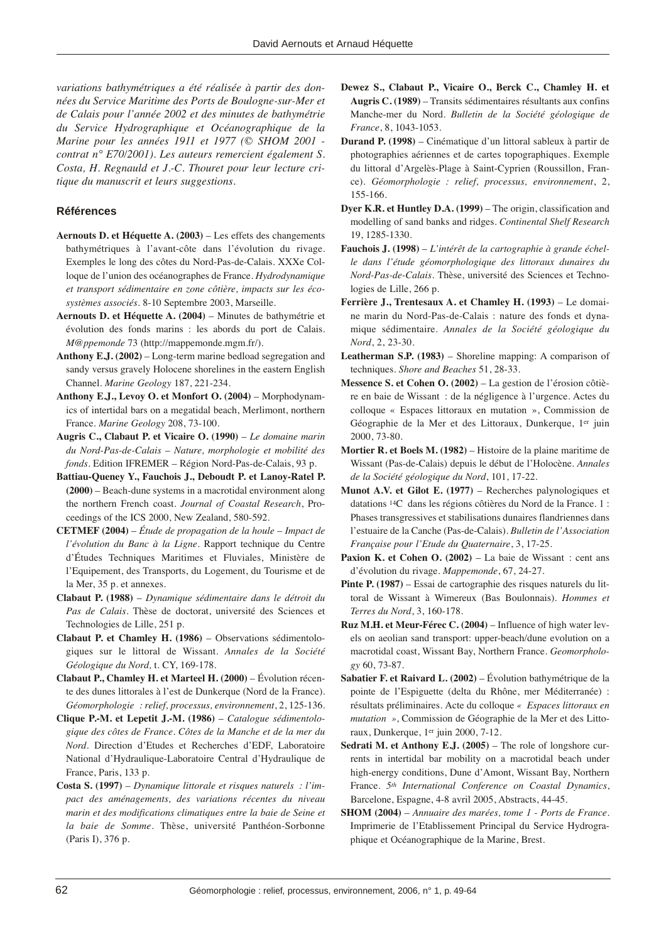*variations bathymétriques a été réalisée à partir des données du Service Maritime des Ports de Boulogne-sur-Mer et de Calais pour l'année 2002 et des minutes de bathymétrie du Service Hydrographique et Océanographique de la Marine pour les années 1911 et 1977 (© SHOM 2001 contrat n° E70/2001). Les auteurs remercient également S. Costa, H. Regnauld et J.-C. Thouret pour leur lecture critique du manuscrit et leurs suggestions.* 

#### **Références**

- **Aernouts D. et Héquette A. (2003)** Les effets des changements bathymétriques à l'avant-côte dans l'évolution du rivage. Exemples le long des côtes du Nord-Pas-de-Calais. XXXe Colloque de l'union des océanographes de France*. Hydrodynamique et transport sédimentaire en zone côtière, impacts sur les écosystèmes associés*. 8-10 Septembre 2003, Marseille.
- **Aernouts D. et Héquette A. (2004)** Minutes de bathymétrie et évolution des fonds marins : les abords du port de Calais. *M@ppemonde* 73 (http://mappemonde.mgm.fr/).
- **Anthony E.J. (2002)** Long-term marine bedload segregation and sandy versus gravely Holocene shorelines in the eastern English Channel. *Marine Geology* 187, 221-234.
- **Anthony E.J., Levoy O. et Monfort O. (2004)** Morphodynamics of intertidal bars on a megatidal beach, Merlimont, northern France. *Marine Geology* 208, 73-100.
- **Augris C., Clabaut P. et Vicaire O. (1990)** *Le domaine marin du Nord-Pas-de-Calais – Nature, morphologie et mobilité des fonds*. Edition IFREMER – Région Nord-Pas-de-Calais, 93 p.
- **Battiau-Queney Y., Fauchois J., Deboudt P. et Lanoy-Ratel P. (2000)** – Beach-dune systems in a macrotidal environment along the northern French coast. *Journal of Coastal Research*, Proceedings of the ICS 2000, New Zealand, 580-592.
- **CETMEF (2004)** *Étude de propagation de la houle Impact de l'évolution du Banc à la Ligne*. Rapport technique du Centre d'Études Techniques Maritimes et Fluviales, Ministère de l'Equipement, des Transports, du Logement, du Tourisme et de la Mer, 35 p. et annexes.
- **Clabaut P. (1988)** *Dynamique sédimentaire dans le détroit du Pas de Calais*. Thèse de doctorat, université des Sciences et Technologies de Lille, 251 p.
- **Clabaut P. et Chamley H. (1986)** Observations sédimentologiques sur le littoral de Wissant. *Annales de la Société Géologique du Nord,* t. CY, 169-178.
- **Clabaut P., Chamley H. et Marteel H. (2000)** Évolution récente des dunes littorales à l'est de Dunkerque (Nord de la France). *Géomorphologie : relief, processus, environnement*, 2, 125-136.
- **Clique P.-M. et Lepetit J.-M. (1986)** *Catalogue sédimentologique des côtes de France. Côtes de la Manche et de la mer du Nord*. Direction d'Etudes et Recherches d'EDF, Laboratoire National d'Hydraulique-Laboratoire Central d'Hydraulique de France, Paris, 133 p.
- **Costa S. (1997)** *Dynamique littorale et risques naturels : l'impact des aménagements, des variations récentes du niveau marin et des modifications climatiques entre la baie de Seine et la baie de Somme*. Thèse, université Panthéon-Sorbonne (Paris I), 376 p.
- **Dewez S., Clabaut P., Vicaire O., Berck C., Chamley H. et Augris C. (1989)** – Transits sédimentaires résultants aux confins Manche-mer du Nord. *Bulletin de la Société géologique de France*, 8, 1043-1053.
- **Durand P. (1998)** Cinématique d'un littoral sableux à partir de photographies aériennes et de cartes topographiques. Exemple du littoral d'Argelès-Plage à Saint-Cyprien (Roussillon, France). *Géomorphologie : relief, processus, environnement*, 2, 155-166.
- **Dyer K.R. et Huntley D.A. (1999)** The origin, classification and modelling of sand banks and ridges. *Continental Shelf Research* 19, 1285-1330.
- **Fauchois J. (1998)** *L'intérêt de la cartographie à grande échelle dans l'étude géomorphologique des littoraux dunaires du Nord-Pas-de-Calais.* Thèse, université des Sciences et Technologies de Lille, 266 p.
- **Ferrière J., Trentesaux A. et Chamley H. (1993)** Le domaine marin du Nord-Pas-de-Calais : nature des fonds et dynamique sédimentaire. *Annales de la Société géologique du Nord*, 2, 23-30.
- **Leatherman S.P. (1983)** Shoreline mapping: A comparison of techniques. *Shore and Beaches* 51, 28-33.
- **Messence S. et Cohen O. (2002)** La gestion de l'érosion côtière en baie de Wissant : de la négligence à l'urgence. Actes du colloque « Espaces littoraux en mutation », Commission de Géographie de la Mer et des Littoraux, Dunkerque, 1er juin 2000, 73-80.
- **Mortier R. et Boels M. (1982)** Histoire de la plaine maritime de Wissant (Pas-de-Calais) depuis le début de l'Holocène. *Annales de la Société géologique du Nord*, 101, 17-22.
- **Munot A.V. et Gilot E. (1977)** Recherches palynologiques et datations 14C dans les régions côtières du Nord de la France. 1 : Phases transgressives et stabilisations dunaires flandriennes dans l'estuaire de la Canche (Pas-de-Calais). *Bulletin de l'Association Française pour l'Etude du Quaternaire*, 3, 17-25.
- **Paxion K. et Cohen O. (2002)** La baie de Wissant : cent ans d'évolution du rivage. *Mappemonde*, 67, 24-27.
- **Pinte P. (1987)** Essai de cartographie des risques naturels du littoral de Wissant à Wimereux (Bas Boulonnais). *Hommes et Terres du Nord*, 3, 160-178.
- **Ruz M.H. et Meur-Férec C. (2004)** Influence of high water levels on aeolian sand transport: upper-beach/dune evolution on a macrotidal coast, Wissant Bay, Northern France. *Geomorphology* 60, 73-87.
- **Sabatier F. et Raivard L. (2002)** Évolution bathymétrique de la pointe de l'Espiguette (delta du Rhône, mer Méditerranée) : résultats préliminaires. Acte du colloque *« Espaces littoraux en mutation »*, Commission de Géographie de la Mer et des Littoraux, Dunkerque, 1er juin 2000, 7-12.
- **Sedrati M. et Anthony E.J. (2005)** The role of longshore currents in intertidal bar mobility on a macrotidal beach under high-energy conditions, Dune d'Amont, Wissant Bay, Northern France. *5th International Conference on Coastal Dynamics*, Barcelone, Espagne, 4-8 avril 2005, Abstracts, 44-45.
- **SHOM (2004)** *Annuaire des marées, tome 1 Ports de France*. Imprimerie de l'Etablissement Principal du Service Hydrographique et Océanographique de la Marine, Brest.